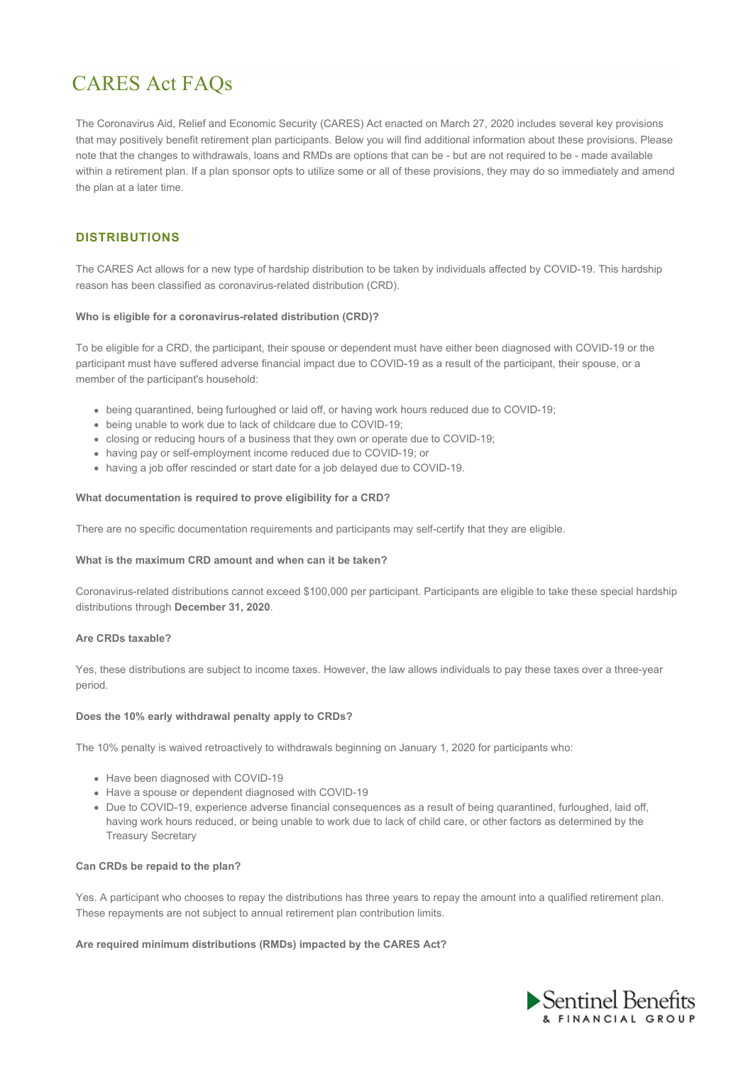# CARES Act FAQs

The Coronavirus Aid, Relief and Economic Security (CARES) Act enacted on March 27, 2020 includes several key provisions that may positively benefit retirement plan participants. Below you will find additional information about these provisions. Please note that the changes to withdrawals, loans and RMDs are options that can be - but are not required to be - made available within a retirement plan. If a plan sponsor opts to utilize some or all of these provisions, they may do so immediately and amend the plan at a later time.

# **DISTRIBUTIONS**

The CARES Act allows for a new type of hardship distribution to be taken by individuals affected by COVID-19. This hardship reason has been classified as coronavirus-related distribution (CRD).

### **Who is eligible for a coronavirus-related distribution (CRD)?**

To be eligible for a CRD, the participant, their spouse or dependent must have either been diagnosed with COVID-19 or the participant must have suffered adverse financial impact due to COVID-19 as a result of the participant, their spouse, or a member of the participant's household:

- being quarantined, being furloughed or laid off, or having work hours reduced due to COVID-19;
- being unable to work due to lack of childcare due to COVID-19;
- closing or reducing hours of a business that they own or operate due to COVID-19;
- having pay or self-employment income reduced due to COVID-19; or
- having a job offer rescinded or start date for a job delayed due to COVID-19.

## **What documentation is required to prove eligibility for a CRD?**

There are no specific documentation requirements and participants may self-certify that they are eligible.

### **What is the maximum CRD amount and when can it be taken?**

Coronavirus-related distributions cannot exceed \$100,000 per participant. Participants are eligible to take these special hardship distributions through **December 31, 2020**.

## **Are CRDs taxable?**

Yes, these distributions are subject to income taxes. However, the law allows individuals to pay these taxes over a three-year period.

### **Does the 10% early withdrawal penalty apply to CRDs?**

The 10% penalty is waived retroactively to withdrawals beginning on January 1, 2020 for participants who:

- Have been diagnosed with COVID-19
- Have a spouse or dependent diagnosed with COVID-19
- Due to COVID-19, experience adverse financial consequences as a result of being quarantined, furloughed, laid off, having work hours reduced, or being unable to work due to lack of child care, or other factors as determined by the Treasury Secretary

### **Can CRDs be repaid to the plan?**

Yes. A participant who chooses to repay the distributions has three years to repay the amount into a qualified retirement plan. These repayments are not subject to annual retirement plan contribution limits.

## **Are required minimum distributions (RMDs) impacted by the CARES Act?**